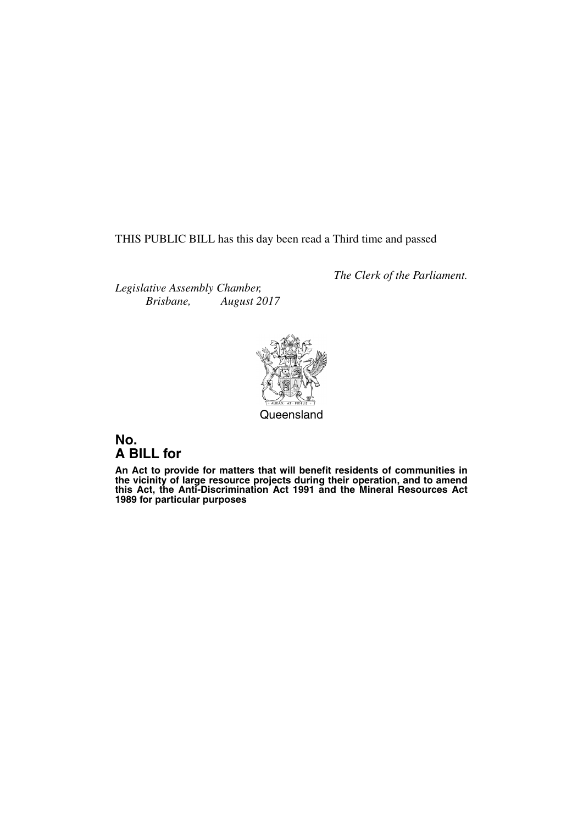THIS PUBLIC BILL has this day been read a Third time and passed

*The Clerk of the Parliament.*

*Legislative Assembly Chamber, Brisbane, August 2017*



**Queensland** 

# **No. A BILL for**

**An Act to provide for matters that will benefit residents of communities in the vicinity of large resource projects during their operation, and to amend this Act, the Anti-Discrimination Act 1991 and the Mineral Resources Act 1989 for particular purposes**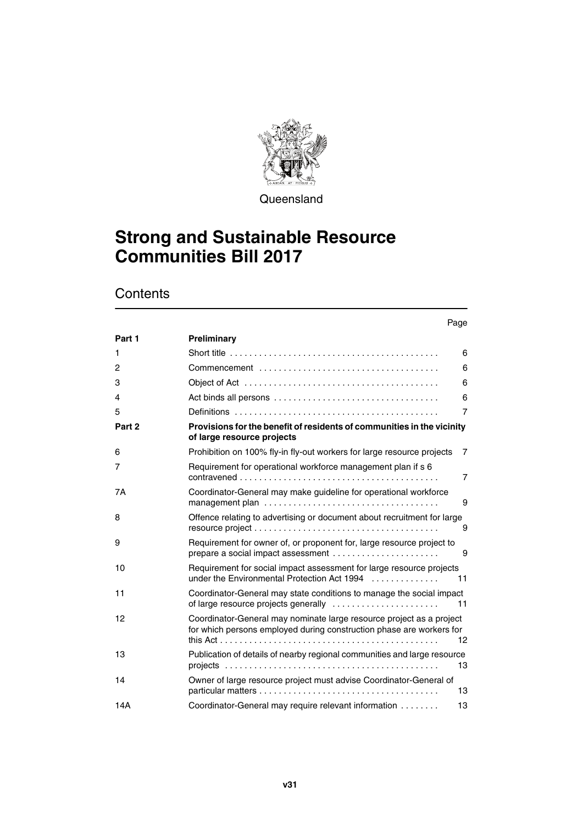

**Queensland** 

# **Strong and Sustainable Resource Communities Bill 2017**

# **Contents**

| Part 1 | Preliminary                                                                                                                                  |                 |
|--------|----------------------------------------------------------------------------------------------------------------------------------------------|-----------------|
| 1      |                                                                                                                                              | 6               |
| 2      |                                                                                                                                              | 6               |
| 3      |                                                                                                                                              | 6               |
| 4      |                                                                                                                                              | 6               |
| 5      |                                                                                                                                              | $\overline{7}$  |
| Part 2 | Provisions for the benefit of residents of communities in the vicinity<br>of large resource projects                                         |                 |
| 6      | Prohibition on 100% fly-in fly-out workers for large resource projects                                                                       | 7               |
| 7      | Requirement for operational workforce management plan if s 6                                                                                 | $\overline{7}$  |
| 7A     | Coordinator-General may make guideline for operational workforce                                                                             | 9               |
| 8      | Offence relating to advertising or document about recruitment for large                                                                      | 9               |
| 9      | Requirement for owner of, or proponent for, large resource project to<br>prepare a social impact assessment                                  | 9               |
| 10     | Requirement for social impact assessment for large resource projects<br>under the Environmental Protection Act 1994                          | 11              |
| 11     | Coordinator-General may state conditions to manage the social impact                                                                         | 11              |
| 12     | Coordinator-General may nominate large resource project as a project<br>for which persons employed during construction phase are workers for | 12 <sup>2</sup> |
| 13     | Publication of details of nearby regional communities and large resource                                                                     | 13              |
| 14     | Owner of large resource project must advise Coordinator-General of                                                                           | 13              |
| 14A    | Coordinator-General may require relevant information                                                                                         | 13              |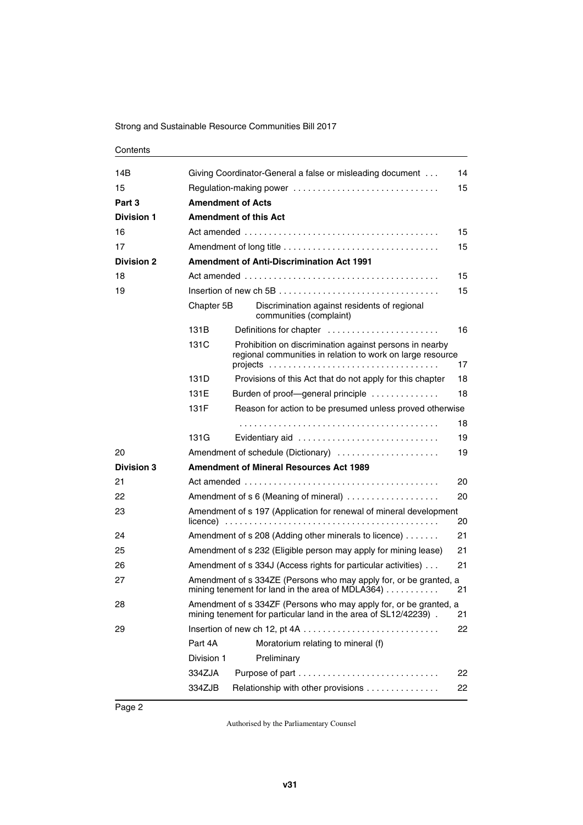#### **Contents**

| 14B               | 14<br>Giving Coordinator-General a false or misleading document                                                                            |                                                                                                                       |    |  |  |  |  |
|-------------------|--------------------------------------------------------------------------------------------------------------------------------------------|-----------------------------------------------------------------------------------------------------------------------|----|--|--|--|--|
| 15                | 15<br>Regulation-making power                                                                                                              |                                                                                                                       |    |  |  |  |  |
| Part 3            |                                                                                                                                            | <b>Amendment of Acts</b>                                                                                              |    |  |  |  |  |
| <b>Division 1</b> |                                                                                                                                            | <b>Amendment of this Act</b>                                                                                          |    |  |  |  |  |
| 16                |                                                                                                                                            |                                                                                                                       | 15 |  |  |  |  |
| 17                |                                                                                                                                            | Amendment of long title                                                                                               | 15 |  |  |  |  |
| <b>Division 2</b> | <b>Amendment of Anti-Discrimination Act 1991</b>                                                                                           |                                                                                                                       |    |  |  |  |  |
| 18                | 15                                                                                                                                         |                                                                                                                       |    |  |  |  |  |
| 19                | 15                                                                                                                                         |                                                                                                                       |    |  |  |  |  |
|                   | Chapter 5B                                                                                                                                 | Discrimination against residents of regional<br>communities (complaint)                                               |    |  |  |  |  |
|                   | 131B                                                                                                                                       | Definitions for chapter                                                                                               | 16 |  |  |  |  |
|                   | 131C                                                                                                                                       | Prohibition on discrimination against persons in nearby<br>regional communities in relation to work on large resource | 17 |  |  |  |  |
|                   | 131D                                                                                                                                       | Provisions of this Act that do not apply for this chapter                                                             | 18 |  |  |  |  |
|                   | 131E                                                                                                                                       | Burden of proof-general principle                                                                                     | 18 |  |  |  |  |
|                   | 131F                                                                                                                                       | Reason for action to be presumed unless proved otherwise                                                              |    |  |  |  |  |
|                   |                                                                                                                                            |                                                                                                                       | 18 |  |  |  |  |
|                   | 131G                                                                                                                                       | Evidentiary aid                                                                                                       | 19 |  |  |  |  |
| 20                |                                                                                                                                            | Amendment of schedule (Dictionary)                                                                                    | 19 |  |  |  |  |
| <b>Division 3</b> | <b>Amendment of Mineral Resources Act 1989</b>                                                                                             |                                                                                                                       |    |  |  |  |  |
| 21                | 20                                                                                                                                         |                                                                                                                       |    |  |  |  |  |
| 22                | Amendment of s 6 (Meaning of mineral)<br>20                                                                                                |                                                                                                                       |    |  |  |  |  |
| 23                | Amendment of s 197 (Application for renewal of mineral development<br>20                                                                   |                                                                                                                       |    |  |  |  |  |
| 24                |                                                                                                                                            | Amendment of s 208 (Adding other minerals to licence)                                                                 | 21 |  |  |  |  |
| 25                |                                                                                                                                            | Amendment of s 232 (Eligible person may apply for mining lease)                                                       | 21 |  |  |  |  |
| 26                |                                                                                                                                            | Amendment of s 334J (Access rights for particular activities)                                                         | 21 |  |  |  |  |
| 27                | Amendment of s 334ZE (Persons who may apply for, or be granted, a<br>mining tenement for land in the area of MDLA364) $\ldots$<br>21       |                                                                                                                       |    |  |  |  |  |
| 28                | Amendment of s 334ZF (Persons who may apply for, or be granted, a<br>mining tenement for particular land in the area of SL12/42239).<br>21 |                                                                                                                       |    |  |  |  |  |
| 29                |                                                                                                                                            |                                                                                                                       | 22 |  |  |  |  |
|                   | Part 4A                                                                                                                                    | Moratorium relating to mineral (f)                                                                                    |    |  |  |  |  |
|                   | Division 1                                                                                                                                 | Preliminary                                                                                                           |    |  |  |  |  |
|                   | 334ZJA                                                                                                                                     |                                                                                                                       | 22 |  |  |  |  |
|                   | 334ZJB                                                                                                                                     | Relationship with other provisions                                                                                    | 22 |  |  |  |  |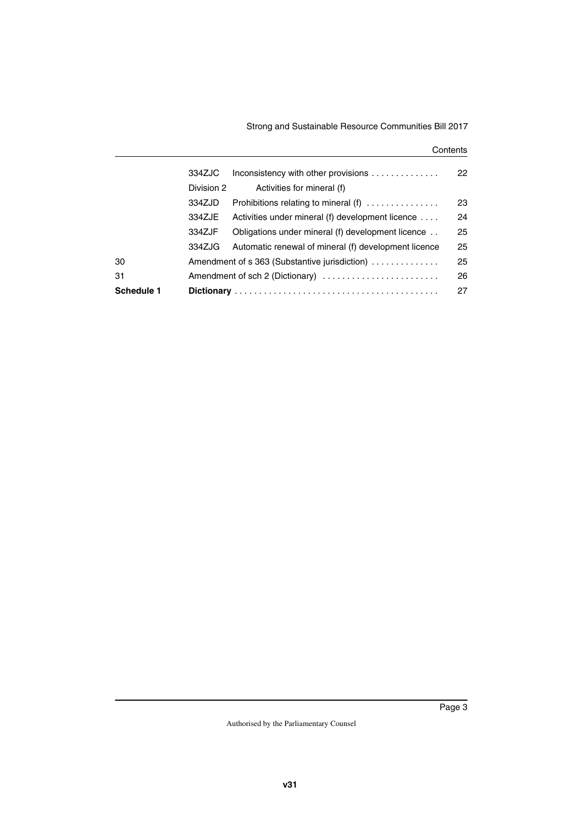#### **Contents**

|                   | 334ZJC     | Inconsistency with other provisions                  | 22 |
|-------------------|------------|------------------------------------------------------|----|
|                   | Division 2 | Activities for mineral (f)                           |    |
|                   | 334ZJD     | Prohibitions relating to mineral $(f)$               | 23 |
|                   | 334ZJE     | Activities under mineral (f) development licence     | 24 |
|                   | 334ZJF     | Obligations under mineral (f) development licence    | 25 |
|                   | 334ZJG     | Automatic renewal of mineral (f) development licence | 25 |
| 30                |            | Amendment of s 363 (Substantive jurisdiction)        | 25 |
| 31                |            | Amendment of sch 2 (Dictionary)                      | 26 |
| <b>Schedule 1</b> |            |                                                      | 27 |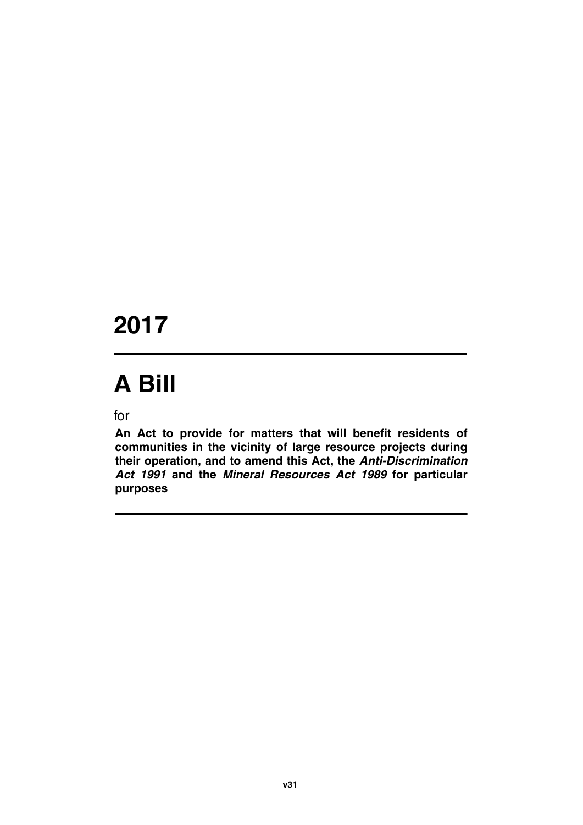# **2017**

# **A Bill**

for

**An Act to provide for matters that will benefit residents of communities in the vicinity of large resource projects during their operation, and to amend this Act, the** *Anti-Discrimination Act 1991* **and the** *Mineral Resources Act 1989* **for particular purposes**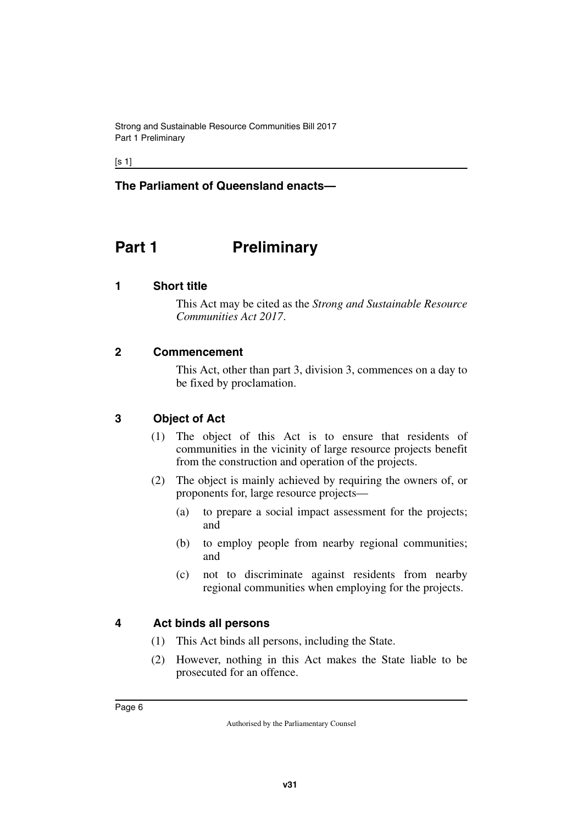$[s 1]$ 

#### **The Parliament of Queensland enacts—**

# <span id="page-7-0"></span>**Part 1** Preliminary

#### <span id="page-7-2"></span>**1 Short title**

<span id="page-7-3"></span><span id="page-7-1"></span>This Act may be cited as the *Strong and Sustainable Resource Communities Act 2017*.

#### <span id="page-7-4"></span>**2 Commencement**

<span id="page-7-5"></span>This Act, other than part 3, division 3, commences on a day to be fixed by proclamation.

#### <span id="page-7-6"></span>**3 Object of Act**

- <span id="page-7-7"></span>(1) The object of this Act is to ensure that residents of communities in the vicinity of large resource projects benefit from the construction and operation of the projects.
- (2) The object is mainly achieved by requiring the owners of, or proponents for, large resource projects—
	- (a) to prepare a social impact assessment for the projects; and
	- (b) to employ people from nearby regional communities; and
	- (c) not to discriminate against residents from nearby regional communities when employing for the projects.

#### <span id="page-7-8"></span>**4 Act binds all persons**

- <span id="page-7-9"></span>(1) This Act binds all persons, including the State.
- (2) However, nothing in this Act makes the State liable to be prosecuted for an offence.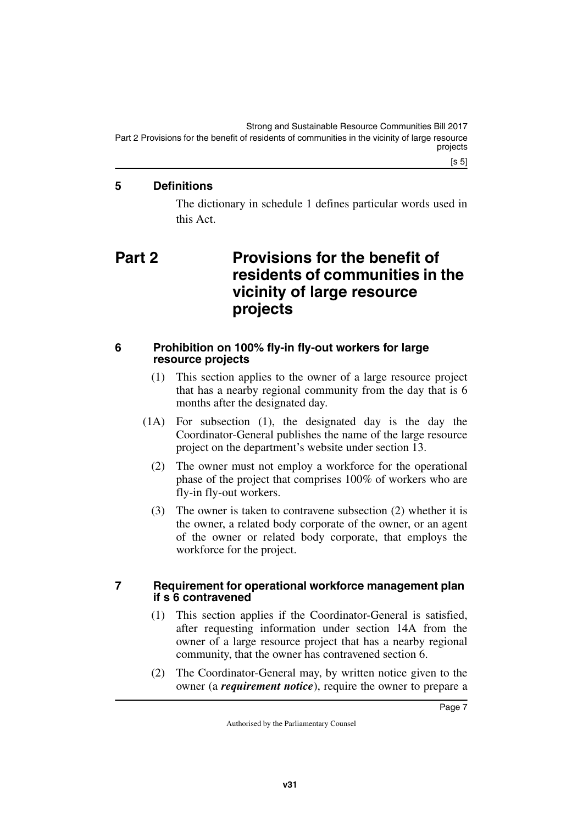Strong and Sustainable Resource Communities Bill 2017 Part 2 Provisions for the benefit of residents of communities in the vicinity of large resource projects

#### <span id="page-8-0"></span>**5 Definitions**

<span id="page-8-3"></span><span id="page-8-1"></span>The dictionary in schedule 1 defines particular words used in this Act.

# <span id="page-8-2"></span>**Part 2 Provisions for the benefit of residents of communities in the vicinity of large resource projects**

#### <span id="page-8-4"></span>**6 Prohibition on 100% fly-in fly-out workers for large resource projects**

- <span id="page-8-5"></span>(1) This section applies to the owner of a large resource project that has a nearby regional community from the day that is 6 months after the designated day.
- (1A) For subsection (1), the designated day is the day the Coordinator-General publishes the name of the large resource project on the department's website under section 13.
	- (2) The owner must not employ a workforce for the operational phase of the project that comprises 100% of workers who are fly-in fly-out workers.
	- (3) The owner is taken to contravene subsection (2) whether it is the owner, a related body corporate of the owner, or an agent of the owner or related body corporate, that employs the workforce for the project.

#### <span id="page-8-7"></span><span id="page-8-6"></span>**7 Requirement for operational workforce management plan if s 6 contravened**

- (1) This section applies if the Coordinator-General is satisfied, after requesting information under section 14A from the owner of a large resource project that has a nearby regional community, that the owner has contravened section 6.
- (2) The Coordinator-General may, by written notice given to the owner (a *requirement notice*), require the owner to prepare a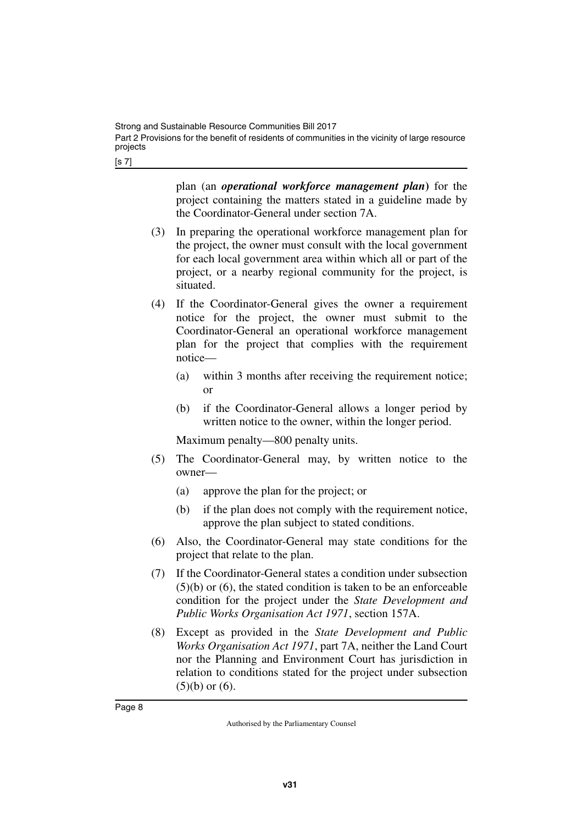[s 7]

plan (an *operational workforce management plan***)** for the project containing the matters stated in a guideline made by the Coordinator-General under section 7A.

- (3) In preparing the operational workforce management plan for the project, the owner must consult with the local government for each local government area within which all or part of the project, or a nearby regional community for the project, is situated.
- (4) If the Coordinator-General gives the owner a requirement notice for the project, the owner must submit to the Coordinator-General an operational workforce management plan for the project that complies with the requirement notice—
	- (a) within 3 months after receiving the requirement notice; or
	- (b) if the Coordinator-General allows a longer period by written notice to the owner, within the longer period.

Maximum penalty—800 penalty units.

- (5) The Coordinator-General may, by written notice to the owner—
	- (a) approve the plan for the project; or
	- (b) if the plan does not comply with the requirement notice, approve the plan subject to stated conditions.
- (6) Also, the Coordinator-General may state conditions for the project that relate to the plan.
- (7) If the Coordinator-General states a condition under subsection (5)(b) or (6), the stated condition is taken to be an enforceable condition for the project under the *State Development and Public Works Organisation Act 1971*, section 157A.
- (8) Except as provided in the *State Development and Public Works Organisation Act 1971*, part 7A, neither the Land Court nor the Planning and Environment Court has jurisdiction in relation to conditions stated for the project under subsection  $(5)(b)$  or  $(6)$ .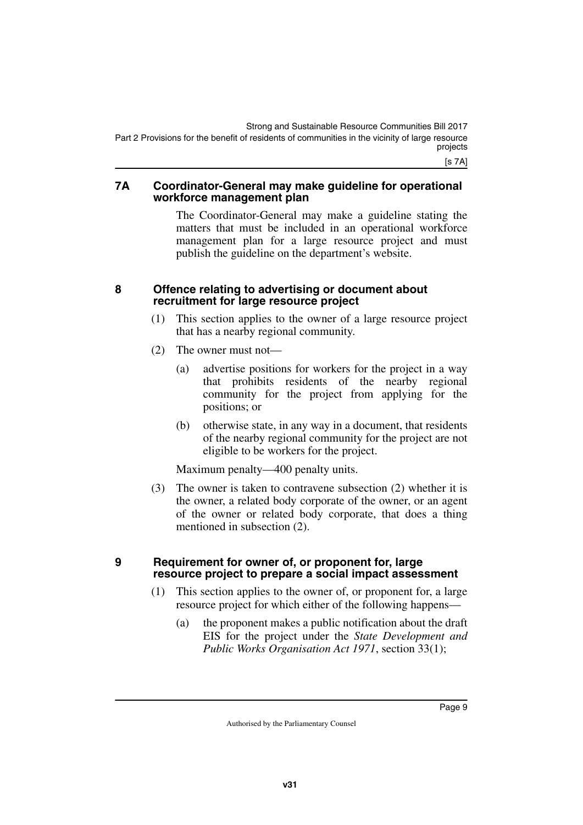[s 7A]

#### <span id="page-10-1"></span><span id="page-10-0"></span>**7A Coordinator-General may make guideline for operational workforce management plan**

The Coordinator-General may make a guideline stating the matters that must be included in an operational workforce management plan for a large resource project and must publish the guideline on the department's website.

#### <span id="page-10-2"></span>**8 Offence relating to advertising or document about recruitment for large resource project**

- <span id="page-10-3"></span>(1) This section applies to the owner of a large resource project that has a nearby regional community.
- (2) The owner must not—
	- (a) advertise positions for workers for the project in a way that prohibits residents of the nearby regional community for the project from applying for the positions; or
	- (b) otherwise state, in any way in a document, that residents of the nearby regional community for the project are not eligible to be workers for the project.

Maximum penalty—400 penalty units.

(3) The owner is taken to contravene subsection (2) whether it is the owner, a related body corporate of the owner, or an agent of the owner or related body corporate, that does a thing mentioned in subsection (2).

#### <span id="page-10-5"></span><span id="page-10-4"></span>**9 Requirement for owner of, or proponent for, large resource project to prepare a social impact assessment**

- (1) This section applies to the owner of, or proponent for, a large resource project for which either of the following happens—
	- (a) the proponent makes a public notification about the draft EIS for the project under the *State Development and Public Works Organisation Act 1971*, section 33(1);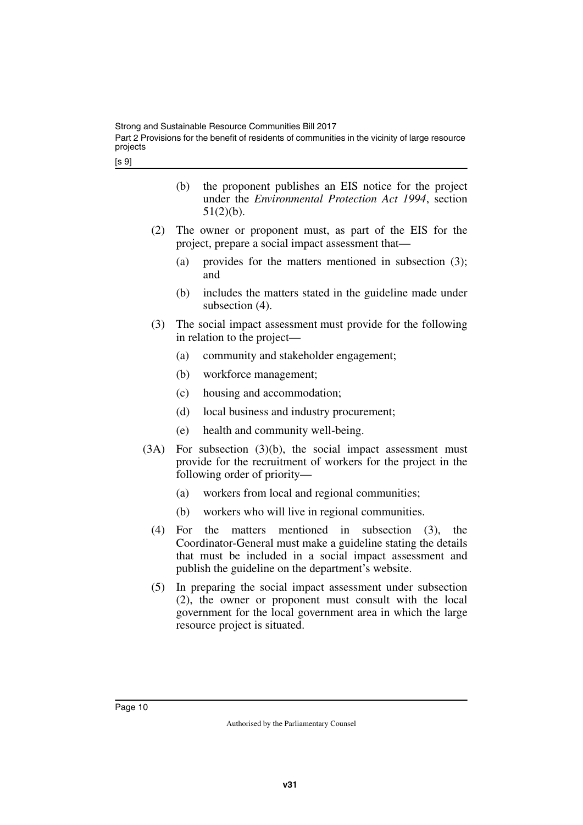[s 9]

- (b) the proponent publishes an EIS notice for the project under the *Environmental Protection Act 1994*, section 51(2)(b).
- (2) The owner or proponent must, as part of the EIS for the project, prepare a social impact assessment that—
	- (a) provides for the matters mentioned in subsection (3); and
	- (b) includes the matters stated in the guideline made under subsection (4).
- (3) The social impact assessment must provide for the following in relation to the project—
	- (a) community and stakeholder engagement;
	- (b) workforce management;
	- (c) housing and accommodation;
	- (d) local business and industry procurement;
	- (e) health and community well-being.
- (3A) For subsection (3)(b), the social impact assessment must provide for the recruitment of workers for the project in the following order of priority—
	- (a) workers from local and regional communities;
	- (b) workers who will live in regional communities.
	- (4) For the matters mentioned in subsection (3), the Coordinator-General must make a guideline stating the details that must be included in a social impact assessment and publish the guideline on the department's website.
	- (5) In preparing the social impact assessment under subsection (2), the owner or proponent must consult with the local government for the local government area in which the large resource project is situated.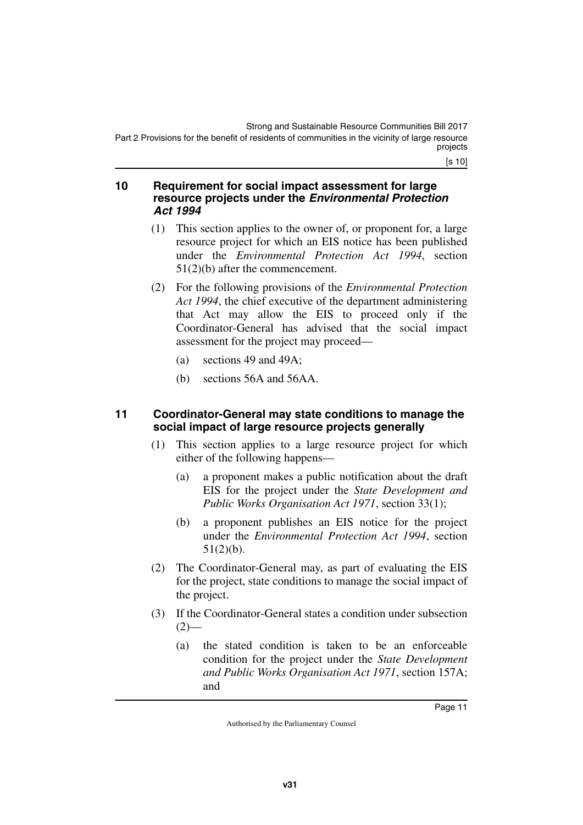[s 10]

#### <span id="page-12-1"></span><span id="page-12-0"></span>**10 Requirement for social impact assessment for large resource projects under the** *Environmental Protection Act 1994*

- (1) This section applies to the owner of, or proponent for, a large resource project for which an EIS notice has been published under the *Environmental Protection Act 1994*, section 51(2)(b) after the commencement.
- (2) For the following provisions of the *Environmental Protection Act 1994*, the chief executive of the department administering that Act may allow the EIS to proceed only if the Coordinator-General has advised that the social impact assessment for the project may proceed—
	- (a) sections 49 and 49A;
	- (b) sections 56A and 56AA.

#### <span id="page-12-3"></span><span id="page-12-2"></span>**11 Coordinator-General may state conditions to manage the social impact of large resource projects generally**

- (1) This section applies to a large resource project for which either of the following happens—
	- (a) a proponent makes a public notification about the draft EIS for the project under the *State Development and Public Works Organisation Act 1971*, section 33(1);
	- (b) a proponent publishes an EIS notice for the project under the *Environmental Protection Act 1994*, section 51(2)(b).
- (2) The Coordinator-General may, as part of evaluating the EIS for the project, state conditions to manage the social impact of the project.
- (3) If the Coordinator-General states a condition under subsection  $(2)$ —
	- (a) the stated condition is taken to be an enforceable condition for the project under the *State Development and Public Works Organisation Act 1971*, section 157A; and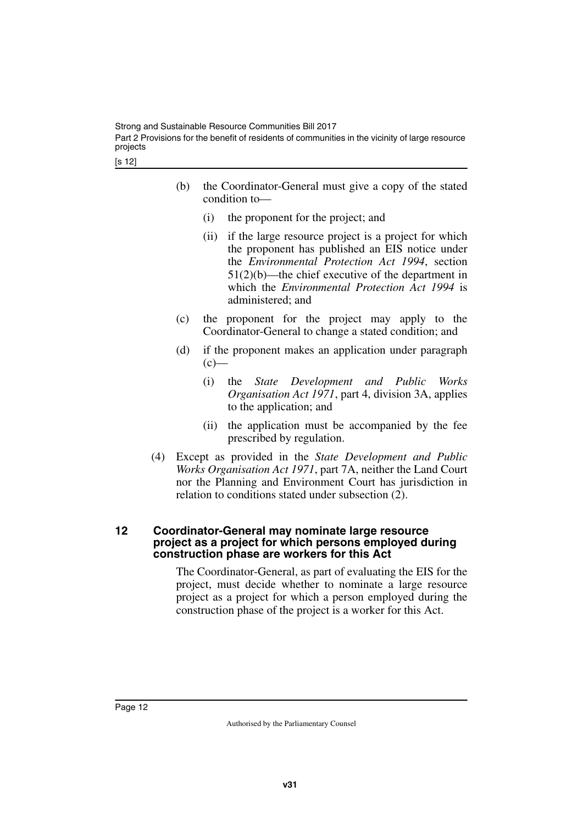- (b) the Coordinator-General must give a copy of the stated condition to—
	- (i) the proponent for the project; and
	- (ii) if the large resource project is a project for which the proponent has published an EIS notice under the *Environmental Protection Act 1994*, section 51(2)(b)—the chief executive of the department in which the *Environmental Protection Act 1994* is administered; and
- (c) the proponent for the project may apply to the Coordinator-General to change a stated condition; and
- (d) if the proponent makes an application under paragraph  $(c)$ —
	- (i) the *State Development and Public Works Organisation Act 1971*, part 4, division 3A, applies to the application; and
	- (ii) the application must be accompanied by the fee prescribed by regulation.
- (4) Except as provided in the *State Development and Public Works Organisation Act 1971*, part 7A, neither the Land Court nor the Planning and Environment Court has jurisdiction in relation to conditions stated under subsection (2).

#### <span id="page-13-1"></span><span id="page-13-0"></span>**12 Coordinator-General may nominate large resource project as a project for which persons employed during construction phase are workers for this Act**

The Coordinator-General, as part of evaluating the EIS for the project, must decide whether to nominate a large resource project as a project for which a person employed during the construction phase of the project is a worker for this Act.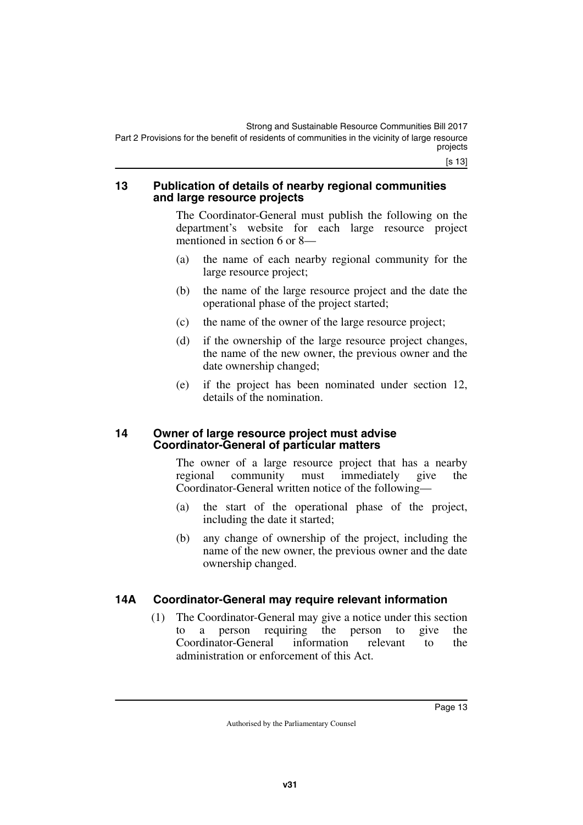#### <span id="page-14-1"></span><span id="page-14-0"></span>**13 Publication of details of nearby regional communities and large resource projects**

The Coordinator-General must publish the following on the department's website for each large resource project mentioned in section 6 or 8—

- (a) the name of each nearby regional community for the large resource project;
- (b) the name of the large resource project and the date the operational phase of the project started;
- (c) the name of the owner of the large resource project;
- (d) if the ownership of the large resource project changes, the name of the new owner, the previous owner and the date ownership changed;
- (e) if the project has been nominated under section 12, details of the nomination.

#### <span id="page-14-3"></span><span id="page-14-2"></span>**14 Owner of large resource project must advise Coordinator-General of particular matters**

The owner of a large resource project that has a nearby regional community must immediately give the Coordinator-General written notice of the following—

- (a) the start of the operational phase of the project, including the date it started;
- (b) any change of ownership of the project, including the name of the new owner, the previous owner and the date ownership changed.

### <span id="page-14-4"></span>**14A Coordinator-General may require relevant information**

<span id="page-14-5"></span>(1) The Coordinator-General may give a notice under this section to a person requiring the person to give the Coordinator-General information relevant to the administration or enforcement of this Act.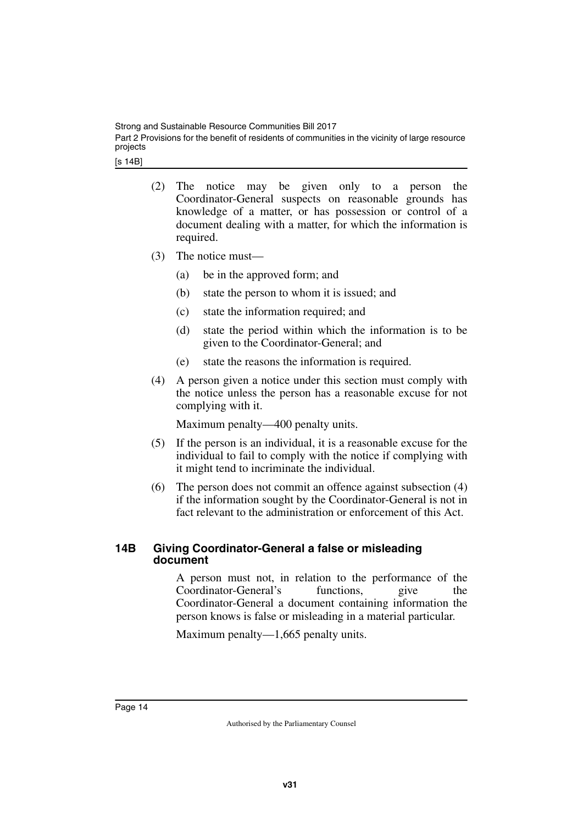- (2) The notice may be given only to a person the Coordinator-General suspects on reasonable grounds has knowledge of a matter, or has possession or control of a document dealing with a matter, for which the information is required.
- (3) The notice must—
	- (a) be in the approved form; and
	- (b) state the person to whom it is issued; and
	- (c) state the information required; and
	- (d) state the period within which the information is to be given to the Coordinator-General; and
	- (e) state the reasons the information is required.
- (4) A person given a notice under this section must comply with the notice unless the person has a reasonable excuse for not complying with it.

Maximum penalty—400 penalty units.

- (5) If the person is an individual, it is a reasonable excuse for the individual to fail to comply with the notice if complying with it might tend to incriminate the individual.
- (6) The person does not commit an offence against subsection (4) if the information sought by the Coordinator-General is not in fact relevant to the administration or enforcement of this Act.

#### <span id="page-15-1"></span><span id="page-15-0"></span>**14B Giving Coordinator-General a false or misleading document**

A person must not, in relation to the performance of the Coordinator-General's functions, give the Coordinator-General a document containing information the person knows is false or misleading in a material particular.

Maximum penalty—1,665 penalty units.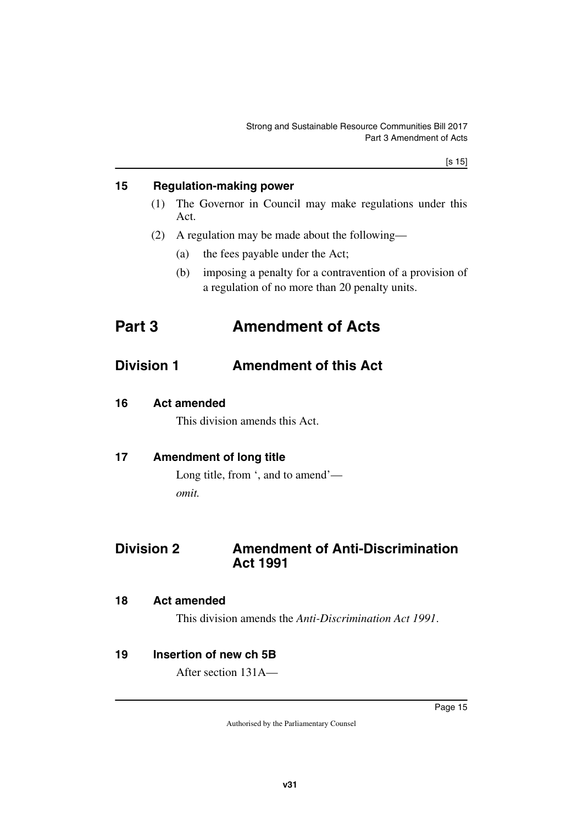#### <span id="page-16-0"></span>**15 Regulation-making power**

- <span id="page-16-1"></span>(1) The Governor in Council may make regulations under this Act.
- <span id="page-16-3"></span>(2) A regulation may be made about the following—
	- (a) the fees payable under the Act;
	- (b) imposing a penalty for a contravention of a provision of a regulation of no more than 20 penalty units.

# <span id="page-16-2"></span>**Part 3 Amendment of Acts**

# <span id="page-16-4"></span>**Division 1 Amendment of this Act**

<span id="page-16-6"></span>**16 Act amended**

<span id="page-16-7"></span><span id="page-16-5"></span>This division amends this Act.

### <span id="page-16-8"></span>**17 Amendment of long title**

<span id="page-16-11"></span><span id="page-16-9"></span>Long title, from ', and to amend' *omit.*

# <span id="page-16-10"></span>**Division 2 Amendment of Anti-Discrimination Act 1991**

#### <span id="page-16-12"></span>**18 Act amended**

<span id="page-16-15"></span><span id="page-16-13"></span>This division amends the *Anti-Discrimination Act 1991*.

#### <span id="page-16-14"></span>**19 Insertion of new ch 5B**

After section 131A—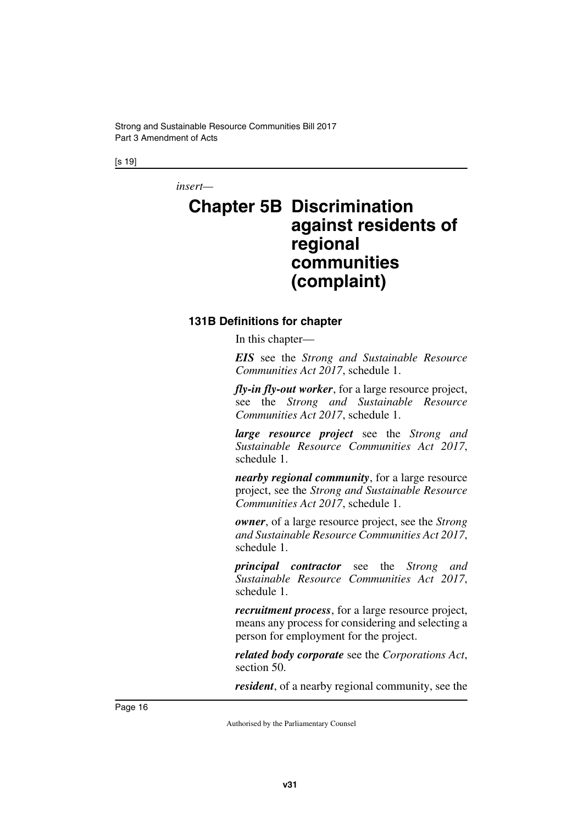[s 19]

*insert—*

# <span id="page-17-1"></span><span id="page-17-0"></span>**Chapter 5B Discrimination against residents of regional communities (complaint)**

#### <span id="page-17-3"></span><span id="page-17-2"></span>**131B Definitions for chapter**

In this chapter—

*EIS* see the *Strong and Sustainable Resource Communities Act 2017*, schedule 1.

*fly-in fly-out worker*, for a large resource project, see the *Strong and Sustainable Resource Communities Act 2017*, schedule 1.

*large resource project* see the *Strong and Sustainable Resource Communities Act 2017*, schedule 1.

*nearby regional community*, for a large resource project, see the *Strong and Sustainable Resource Communities Act 2017*, schedule 1.

*owner*, of a large resource project, see the *Strong and Sustainable Resource Communities Act 2017*, schedule 1.

*principal contractor* see the *Strong and Sustainable Resource Communities Act 2017*, schedule 1.

*recruitment process*, for a large resource project, means any process for considering and selecting a person for employment for the project.

*related body corporate* see the *Corporations Act*, section 50.

*resident*, of a nearby regional community, see the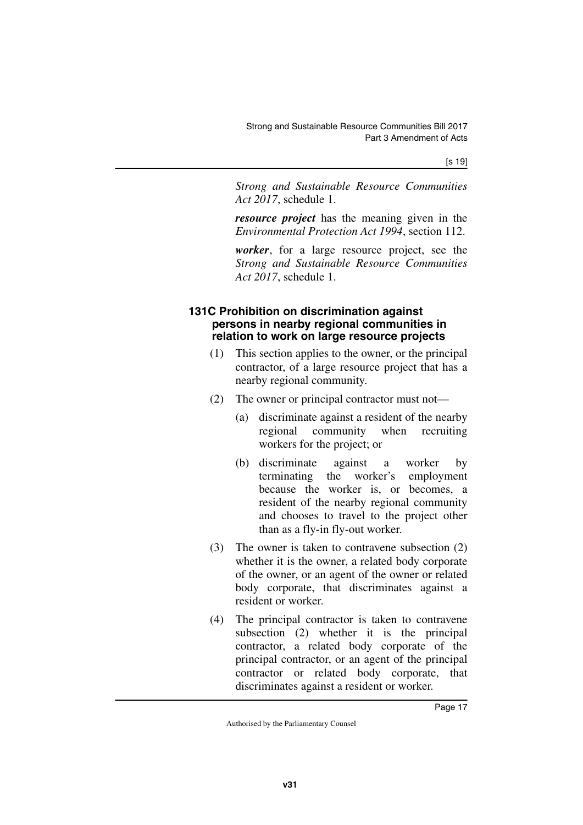[s 19]

*Strong and Sustainable Resource Communities Act 2017*, schedule 1.

*resource project* has the meaning given in the *Environmental Protection Act 1994*, section 112.

*worker*, for a large resource project, see the *Strong and Sustainable Resource Communities Act 2017*, schedule 1.

#### <span id="page-18-1"></span><span id="page-18-0"></span>**131C Prohibition on discrimination against persons in nearby regional communities in relation to work on large resource projects**

- (1) This section applies to the owner, or the principal contractor, of a large resource project that has a nearby regional community.
- (2) The owner or principal contractor must not—
	- (a) discriminate against a resident of the nearby regional community when recruiting workers for the project; or
	- (b) discriminate against a worker by terminating the worker's employment because the worker is, or becomes, a resident of the nearby regional community and chooses to travel to the project other than as a fly-in fly-out worker.
- (3) The owner is taken to contravene subsection (2) whether it is the owner, a related body corporate of the owner, or an agent of the owner or related body corporate, that discriminates against a resident or worker.
- (4) The principal contractor is taken to contravene subsection (2) whether it is the principal contractor, a related body corporate of the principal contractor, or an agent of the principal contractor or related body corporate, that discriminates against a resident or worker.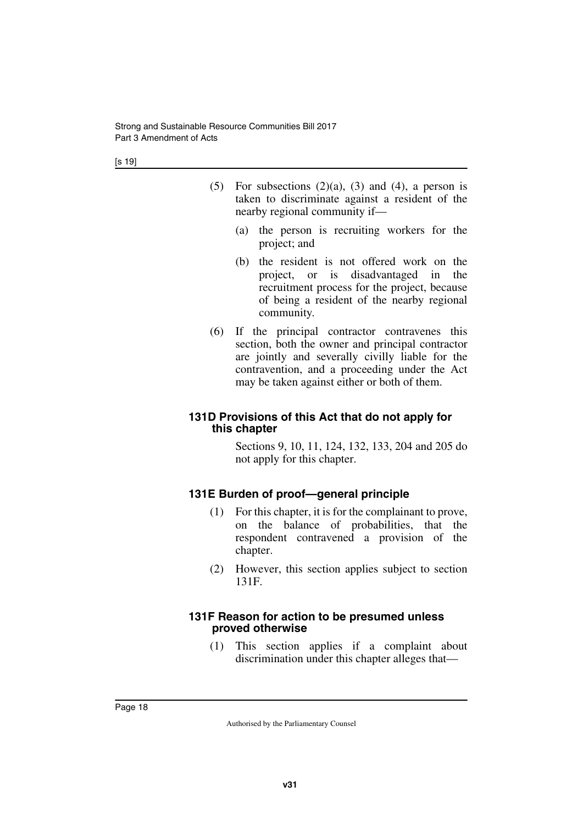- (5) For subsections  $(2)(a)$ ,  $(3)$  and  $(4)$ , a person is taken to discriminate against a resident of the nearby regional community if—
	- (a) the person is recruiting workers for the project; and
	- (b) the resident is not offered work on the project, or is disadvantaged in the recruitment process for the project, because of being a resident of the nearby regional community.
- (6) If the principal contractor contravenes this section, both the owner and principal contractor are jointly and severally civilly liable for the contravention, and a proceeding under the Act may be taken against either or both of them.

#### <span id="page-19-1"></span><span id="page-19-0"></span>**131D Provisions of this Act that do not apply for this chapter**

Sections 9, 10, 11, 124, 132, 133, 204 and 205 do not apply for this chapter.

#### <span id="page-19-2"></span>**131E Burden of proof—general principle**

- <span id="page-19-3"></span>(1) For this chapter, it is for the complainant to prove, on the balance of probabilities, that the respondent contravened a provision of the chapter.
- (2) However, this section applies subject to section 131F.

#### <span id="page-19-5"></span><span id="page-19-4"></span>**131F Reason for action to be presumed unless proved otherwise**

(1) This section applies if a complaint about discrimination under this chapter alleges that—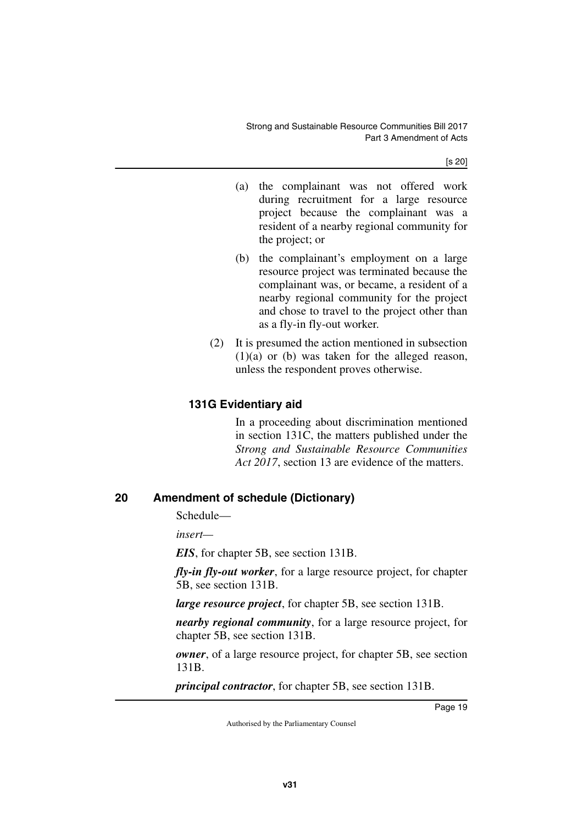[s 20]

- (a) the complainant was not offered work during recruitment for a large resource project because the complainant was a resident of a nearby regional community for the project; or
- (b) the complainant's employment on a large resource project was terminated because the complainant was, or became, a resident of a nearby regional community for the project and chose to travel to the project other than as a fly-in fly-out worker.
- (2) It is presumed the action mentioned in subsection  $(1)(a)$  or  $(b)$  was taken for the alleged reason, unless the respondent proves otherwise.

## <span id="page-20-1"></span><span id="page-20-0"></span>**131G Evidentiary aid**

In a proceeding about discrimination mentioned in section 131C, the matters published under the *Strong and Sustainable Resource Communities Act 2017*, section 13 are evidence of the matters.

### <span id="page-20-2"></span>**20 Amendment of schedule (Dictionary)**

<span id="page-20-3"></span>Schedule—

*insert—*

*EIS*, for chapter 5B, see section 131B.

*fly-in fly-out worker*, for a large resource project, for chapter 5B, see section 131B.

*large resource project*, for chapter 5B, see section 131B.

*nearby regional community*, for a large resource project, for chapter 5B, see section 131B.

*owner*, of a large resource project, for chapter 5B, see section 131B.

*principal contractor*, for chapter 5B, see section 131B.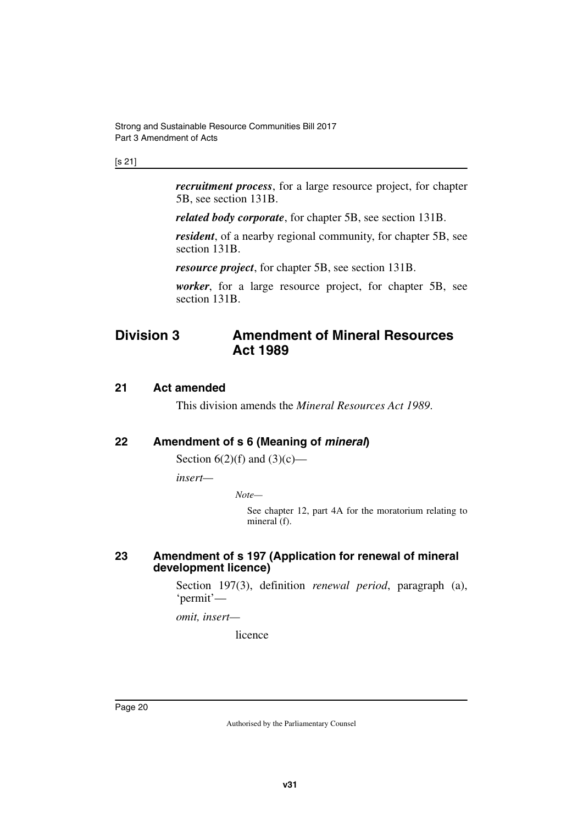#### [s 21]

*recruitment process*, for a large resource project, for chapter 5B, see section 131B.

*related body corporate*, for chapter 5B, see section 131B.

*resident*, of a nearby regional community, for chapter 5B, see section 131B.

*resource project*, for chapter 5B, see section 131B.

<span id="page-21-1"></span>*worker*, for a large resource project, for chapter 5B, see section 131B.

# <span id="page-21-0"></span>**Division 3 Amendment of Mineral Resources Act 1989**

#### <span id="page-21-2"></span>**21 Act amended**

<span id="page-21-5"></span><span id="page-21-3"></span>This division amends the *Mineral Resources Act 1989*.

#### <span id="page-21-4"></span>**22 Amendment of s 6 (Meaning of** *mineral***)**

Section  $6(2)(f)$  and  $(3)(c)$ —

*insert—*

*Note—*

See chapter 12, part 4A for the moratorium relating to mineral (f).

#### <span id="page-21-7"></span><span id="page-21-6"></span>**23 Amendment of s 197 (Application for renewal of mineral development licence)**

Section 197(3), definition *renewal period*, paragraph (a), 'permit'—

*omit, insert—*

licence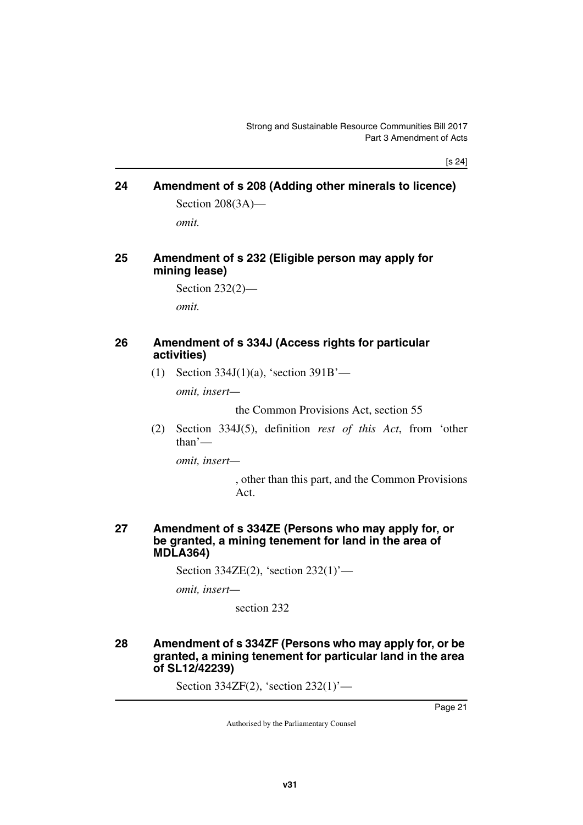[s 24]

### <span id="page-22-1"></span><span id="page-22-0"></span>**24 Amendment of s 208 (Adding other minerals to licence)** Section 208(3A)—

<span id="page-22-3"></span>*omit.*

#### <span id="page-22-2"></span>**25 Amendment of s 232 (Eligible person may apply for mining lease)**

```
Section 232(2)—
```
<span id="page-22-5"></span>*omit.*

#### <span id="page-22-4"></span>**26 Amendment of s 334J (Access rights for particular activities)**

(1) Section 334J(1)(a), 'section 391B'—

*omit, insert—*

the Common Provisions Act, section 55

(2) Section 334J(5), definition *rest of this Act*, from 'other than'—

*omit, insert—*

, other than this part, and the Common Provisions Act.

#### <span id="page-22-7"></span><span id="page-22-6"></span>**27 Amendment of s 334ZE (Persons who may apply for, or be granted, a mining tenement for land in the area of MDLA364)**

Section 334ZE(2), 'section 232(1)'—

*omit, insert—*

section 232

#### <span id="page-22-9"></span><span id="page-22-8"></span>**28 Amendment of s 334ZF (Persons who may apply for, or be granted, a mining tenement for particular land in the area of SL12/42239)**

Section 334ZF(2), 'section 232(1)'—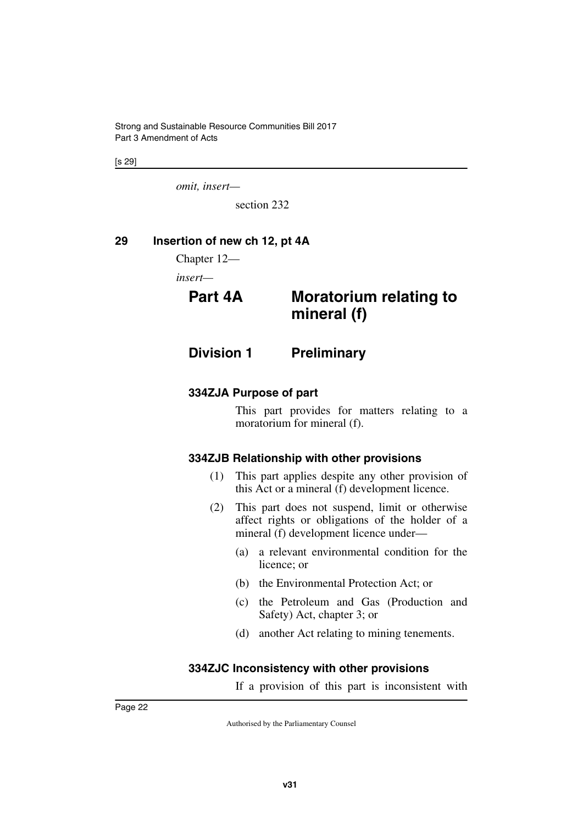[s 29]

*omit, insert—*

<span id="page-23-3"></span>section 232

### <span id="page-23-0"></span>**29 Insertion of new ch 12, pt 4A**

<span id="page-23-1"></span>Chapter 12—

*insert—*

# <span id="page-23-2"></span>**Part 4A Moratorium relating to mineral (f)**

<span id="page-23-4"></span>**Division 1 Preliminary**

#### <span id="page-23-6"></span>**334ZJA Purpose of part**

<span id="page-23-7"></span><span id="page-23-5"></span>This part provides for matters relating to a moratorium for mineral (f).

#### <span id="page-23-8"></span>**334ZJB Relationship with other provisions**

- <span id="page-23-9"></span>(1) This part applies despite any other provision of this Act or a mineral (f) development licence.
- (2) This part does not suspend, limit or otherwise affect rights or obligations of the holder of a mineral (f) development licence under—
	- (a) a relevant environmental condition for the licence; or
	- (b) the Environmental Protection Act; or
	- (c) the Petroleum and Gas (Production and Safety) Act, chapter 3; or
	- (d) another Act relating to mining tenements.

#### <span id="page-23-10"></span>**334ZJC Inconsistency with other provisions**

<span id="page-23-11"></span>If a provision of this part is inconsistent with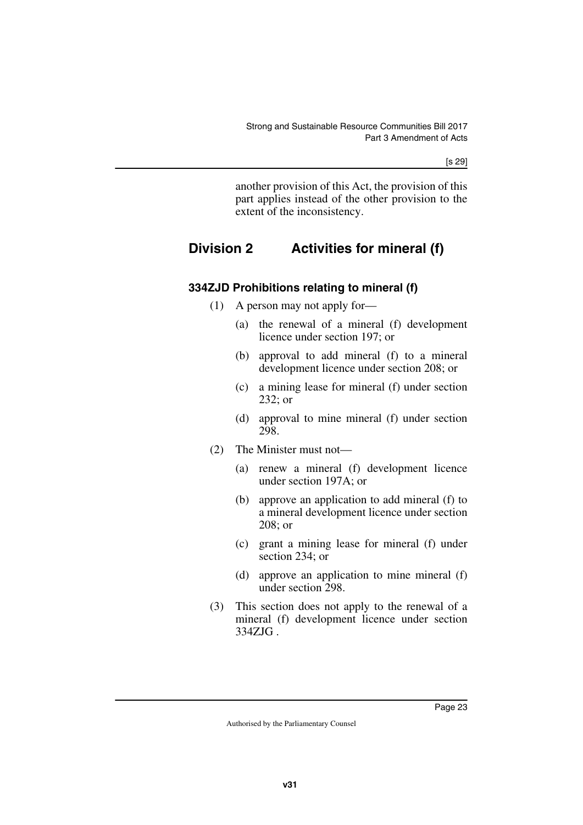[s 29]

<span id="page-24-1"></span>another provision of this Act, the provision of this part applies instead of the other provision to the extent of the inconsistency.

# <span id="page-24-0"></span>**Division 2 Activities for mineral (f)**

## <span id="page-24-2"></span>**334ZJD Prohibitions relating to mineral (f)**

- <span id="page-24-3"></span>(1) A person may not apply for—
	- (a) the renewal of a mineral (f) development licence under section 197; or
	- (b) approval to add mineral (f) to a mineral development licence under section 208; or
	- (c) a mining lease for mineral (f) under section 232; or
	- (d) approval to mine mineral (f) under section 298.
- (2) The Minister must not—
	- (a) renew a mineral (f) development licence under section 197A; or
	- (b) approve an application to add mineral (f) to a mineral development licence under section 208; or
	- (c) grant a mining lease for mineral (f) under section 234; or
	- (d) approve an application to mine mineral (f) under section 298.
- (3) This section does not apply to the renewal of a mineral (f) development licence under section 334ZJG .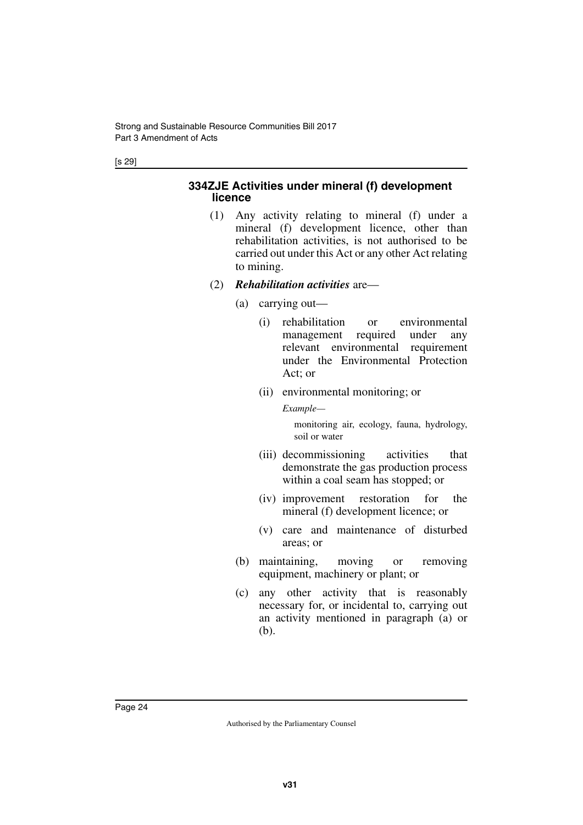#### <span id="page-25-1"></span><span id="page-25-0"></span>**334ZJE Activities under mineral (f) development licence**

- (1) Any activity relating to mineral (f) under a mineral (f) development licence, other than rehabilitation activities, is not authorised to be carried out under this Act or any other Act relating to mining.
- (2) *Rehabilitation activities* are—
	- (a) carrying out—
		- (i) rehabilitation or environmental management required under any relevant environmental requirement under the Environmental Protection Act; or
		- (ii) environmental monitoring; or

*Example—*

monitoring air, ecology, fauna, hydrology, soil or water

- (iii) decommissioning activities that demonstrate the gas production process within a coal seam has stopped; or
- (iv) improvement restoration for the mineral (f) development licence; or
- (v) care and maintenance of disturbed areas; or
- (b) maintaining, moving or removing equipment, machinery or plant; or
- (c) any other activity that is reasonably necessary for, or incidental to, carrying out an activity mentioned in paragraph (a) or (b).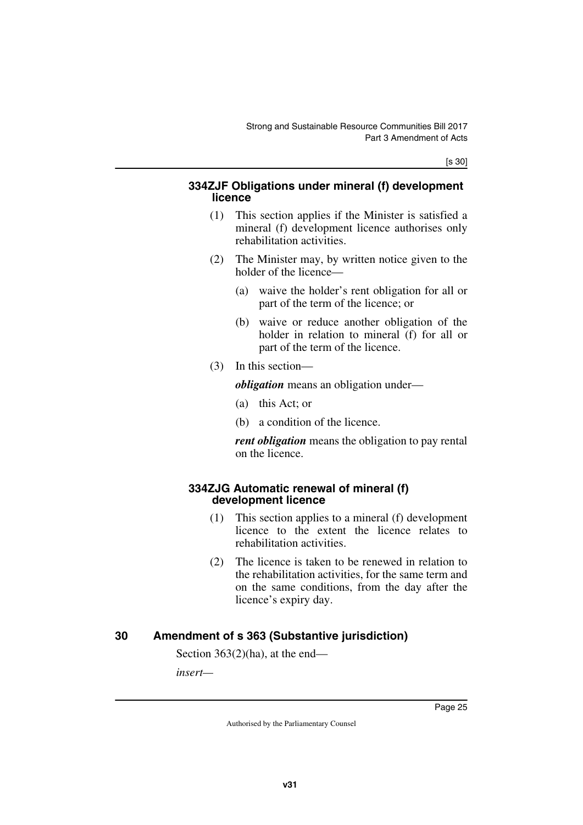[s 30]

#### <span id="page-26-1"></span><span id="page-26-0"></span>**334ZJF Obligations under mineral (f) development licence**

- (1) This section applies if the Minister is satisfied a mineral (f) development licence authorises only rehabilitation activities.
- (2) The Minister may, by written notice given to the holder of the licence—
	- (a) waive the holder's rent obligation for all or part of the term of the licence; or
	- (b) waive or reduce another obligation of the holder in relation to mineral (f) for all or part of the term of the licence.
- (3) In this section—

*obligation* means an obligation under—

- (a) this Act; or
- (b) a condition of the licence.

<span id="page-26-3"></span>*rent obligation* means the obligation to pay rental on the licence.

#### <span id="page-26-2"></span>**334ZJG Automatic renewal of mineral (f) development licence**

- (1) This section applies to a mineral (f) development licence to the extent the licence relates to rehabilitation activities.
- (2) The licence is taken to be renewed in relation to the rehabilitation activities, for the same term and on the same conditions, from the day after the licence's expiry day.

### <span id="page-26-4"></span>**30 Amendment of s 363 (Substantive jurisdiction)**

<span id="page-26-5"></span>Section 363(2)(ha), at the end—

*insert—*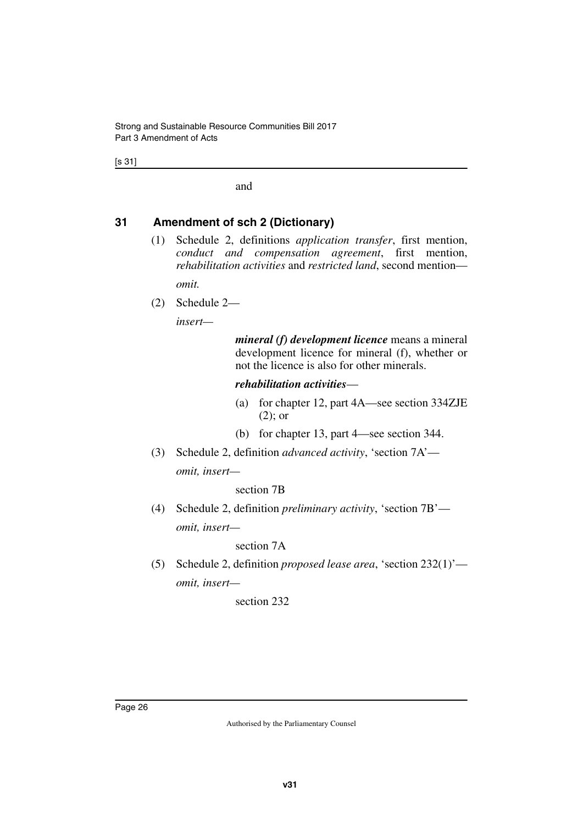[s 31]

and

#### <span id="page-27-0"></span>**31 Amendment of sch 2 (Dictionary)**

<span id="page-27-1"></span>(1) Schedule 2, definitions *application transfer*, first mention, *conduct and compensation agreement*, first mention, *rehabilitation activities* and *restricted land*, second mention—

*omit.*

(2) Schedule 2—

*insert—*

*mineral (f) development licence* means a mineral development licence for mineral (f), whether or not the licence is also for other minerals.

#### *rehabilitation activities*—

- (a) for chapter 12, part 4A—see section 334ZJE (2); or
- (b) for chapter 13, part 4—see section 344.
- (3) Schedule 2, definition *advanced activity*, 'section 7A' *omit, insert—*

#### section 7B

(4) Schedule 2, definition *preliminary activity*, 'section 7B' *omit, insert—*

#### section 7A

(5) Schedule 2, definition *proposed lease area*, 'section 232(1)' *omit, insert—*

section 232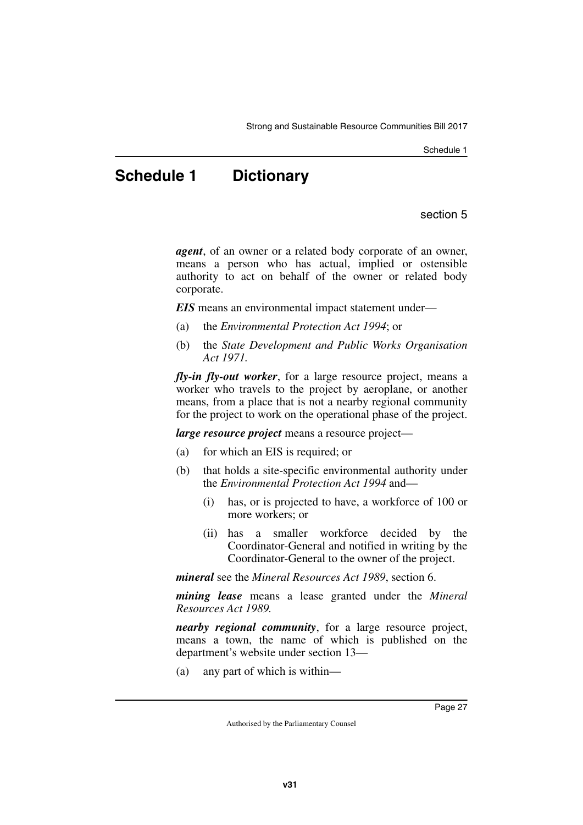Schedule 1

# <span id="page-28-0"></span>**Schedule 1 Dictionary**

section 5

<span id="page-28-1"></span>*agent*, of an owner or a related body corporate of an owner, means a person who has actual, implied or ostensible authority to act on behalf of the owner or related body corporate.

*EIS* means an environmental impact statement under—

- (a) the *Environmental Protection Act 1994*; or
- (b) the *State Development and Public Works Organisation Act 1971.*

*fly-in fly-out worker*, for a large resource project, means a worker who travels to the project by aeroplane, or another means, from a place that is not a nearby regional community for the project to work on the operational phase of the project.

*large resource project* means a resource project—

- (a) for which an EIS is required; or
- (b) that holds a site-specific environmental authority under the *Environmental Protection Act 1994* and—
	- (i) has, or is projected to have, a workforce of 100 or more workers; or
	- (ii) has a smaller workforce decided by the Coordinator-General and notified in writing by the Coordinator-General to the owner of the project.

*mineral* see the *Mineral Resources Act 1989*, section 6.

*mining lease* means a lease granted under the *Mineral Resources Act 1989.*

*nearby regional community*, for a large resource project, means a town, the name of which is published on the department's website under section 13—

(a) any part of which is within—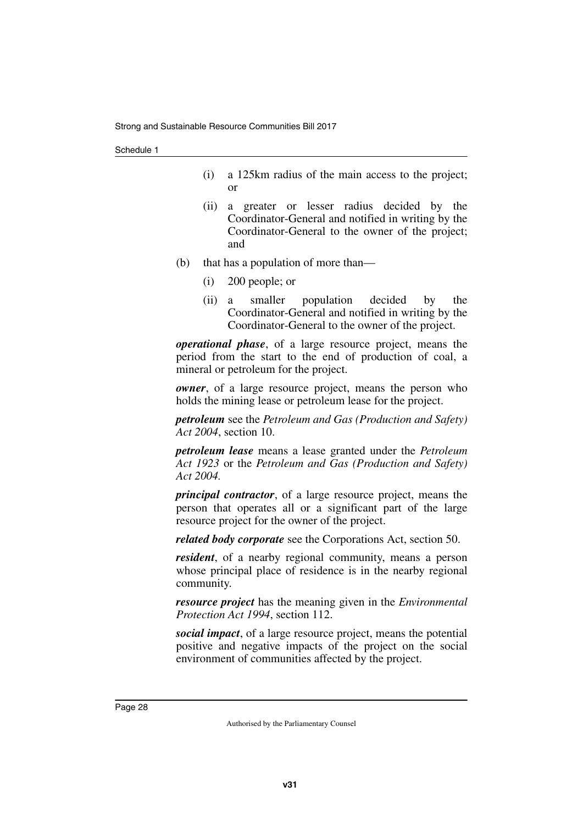- (i) a 125km radius of the main access to the project; or
- (ii) a greater or lesser radius decided by the Coordinator-General and notified in writing by the Coordinator-General to the owner of the project; and
- (b) that has a population of more than—
	- (i) 200 people; or
	- (ii) a smaller population decided by the Coordinator-General and notified in writing by the Coordinator-General to the owner of the project.

*operational phase*, of a large resource project, means the period from the start to the end of production of coal, a mineral or petroleum for the project.

*owner*, of a large resource project, means the person who holds the mining lease or petroleum lease for the project.

*petroleum* see the *Petroleum and Gas (Production and Safety) Act 2004*, section 10.

*petroleum lease* means a lease granted under the *Petroleum Act 1923* or the *Petroleum and Gas (Production and Safety) Act 2004.*

*principal contractor*, of a large resource project, means the person that operates all or a significant part of the large resource project for the owner of the project.

*related body corporate* see the Corporations Act, section 50.

*resident*, of a nearby regional community, means a person whose principal place of residence is in the nearby regional community.

*resource project* has the meaning given in the *Environmental Protection Act 1994*, section 112.

*social impact*, of a large resource project, means the potential positive and negative impacts of the project on the social environment of communities affected by the project.